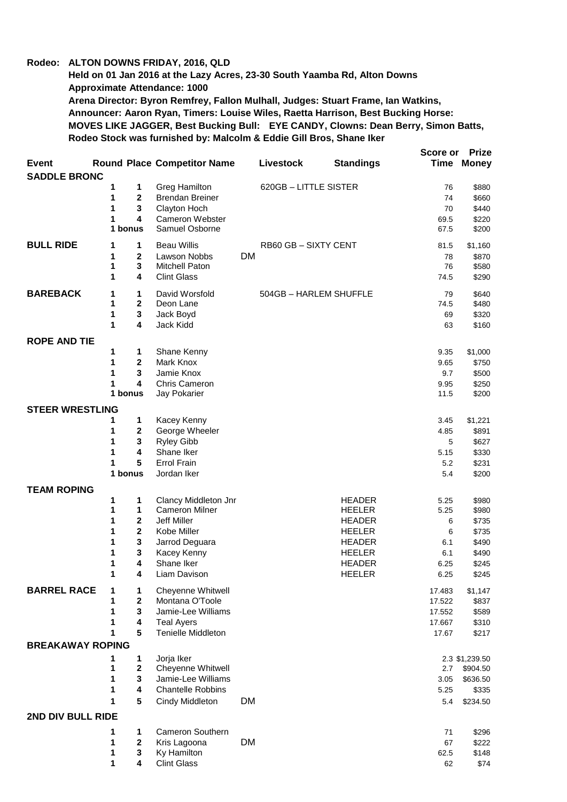## **Rodeo: ALTON DOWNS FRIDAY, 2016, QLD**

**Held on 01 Jan 2016 at the Lazy Acres, 23-30 South Yaamba Rd, Alton Downs Approximate Attendance: 1000 Arena Director: Byron Remfrey, Fallon Mulhall, Judges: Stuart Frame, Ian Watkins, Announcer: Aaron Ryan, Timers: Louise Wiles, Raetta Harrison, Best Bucking Horse: MOVES LIKE JAGGER, Best Bucking Bull: EYE CANDY, Clowns: Dean Berry, Simon Batts, Rodeo Stock was furnished by: Malcolm & Eddie Gill Bros, Shane Iker**

|                                     |                                 |                                               |           |                        |                                | Score or     | <b>Prize</b>               |
|-------------------------------------|---------------------------------|-----------------------------------------------|-----------|------------------------|--------------------------------|--------------|----------------------------|
| <b>Event</b><br><b>SADDLE BRONC</b> |                                 | <b>Round Place Competitor Name</b>            |           | Livestock              | <b>Standings</b>               | Time         | <b>Money</b>               |
|                                     | 1<br>1                          | <b>Greg Hamilton</b>                          |           | 620GB-LITTLE SISTER    |                                | 76           | \$880                      |
|                                     | 1<br>$\mathbf 2$                | <b>Brendan Breiner</b>                        |           |                        |                                | 74           | \$660                      |
|                                     | 1<br>3                          | Clayton Hoch                                  |           |                        |                                | 70           | \$440                      |
|                                     | 1<br>4                          | <b>Cameron Webster</b>                        |           |                        |                                | 69.5         | \$220                      |
|                                     | 1 bonus                         | Samuel Osborne                                |           |                        |                                | 67.5         | \$200                      |
| <b>BULL RIDE</b>                    | 1<br>1                          | <b>Beau Willis</b>                            |           | RB60 GB - SIXTY CENT   |                                | 81.5         | \$1,160                    |
|                                     | 1<br>$\mathbf{2}$               | Lawson Nobbs                                  | <b>DM</b> |                        |                                | 78           | \$870                      |
|                                     | $\mathbf 3$<br>1                | Mitchell Paton                                |           |                        |                                | 76           | \$580                      |
|                                     | 1<br>4                          | <b>Clint Glass</b>                            |           |                        |                                | 74.5         | \$290                      |
| <b>BAREBACK</b>                     | 1<br>1                          | David Worsfold                                |           | 504GB - HARLEM SHUFFLE |                                | 79           | \$640                      |
|                                     | 1<br>$\mathbf 2$                | Deon Lane                                     |           |                        |                                | 74.5         | \$480                      |
|                                     | 1<br>$\mathbf 3$                | Jack Boyd                                     |           |                        |                                | 69           | \$320                      |
|                                     | 4<br>1                          | Jack Kidd                                     |           |                        |                                | 63           | \$160                      |
| <b>ROPE AND TIE</b>                 | 1<br>1                          |                                               |           |                        |                                | 9.35         |                            |
|                                     | 1<br>$\mathbf 2$                | Shane Kenny<br>Mark Knox                      |           |                        |                                | 9.65         | \$1,000<br>\$750           |
|                                     | 1<br>3                          | Jamie Knox                                    |           |                        |                                | 9.7          | \$500                      |
|                                     | 4<br>1                          | Chris Cameron                                 |           |                        |                                | 9.95         | \$250                      |
|                                     | 1 bonus                         | Jay Pokarier                                  |           |                        |                                | 11.5         | \$200                      |
| <b>STEER WRESTLING</b>              |                                 |                                               |           |                        |                                |              |                            |
|                                     | 1<br>1                          | Kacey Kenny                                   |           |                        |                                | 3.45         | \$1,221                    |
|                                     | 1<br>$\mathbf 2$                | George Wheeler                                |           |                        |                                | 4.85         | \$891                      |
|                                     | 1<br>$\mathbf 3$                | Ryley Gibb                                    |           |                        |                                | 5            | \$627                      |
|                                     | 1<br>4                          | Shane Iker                                    |           |                        |                                | 5.15         | \$330                      |
|                                     | 1<br>5                          | <b>Errol Frain</b>                            |           |                        |                                | 5.2          | \$231                      |
|                                     | 1 bonus                         | Jordan Iker                                   |           |                        |                                | 5.4          | \$200                      |
| <b>TEAM ROPING</b>                  |                                 |                                               |           |                        |                                |              |                            |
|                                     | 1<br>1<br>1<br>1                | Clancy Middleton Jnr<br><b>Cameron Milner</b> |           |                        | <b>HEADER</b><br><b>HEELER</b> | 5.25<br>5.25 | \$980                      |
|                                     | 1<br>$\mathbf 2$                | Jeff Miller                                   |           |                        | <b>HEADER</b>                  | 6            | \$980<br>\$735             |
|                                     | $\overline{\mathbf{2}}$<br>1    | Kobe Miller                                   |           |                        | <b>HEELER</b>                  | 6            | \$735                      |
|                                     | $\mathbf 3$<br>1                | Jarrod Deguara                                |           |                        | <b>HEADER</b>                  | 6.1          | \$490                      |
|                                     | 1<br>3                          | Kacey Kenny                                   |           |                        | <b>HEELER</b>                  | 6.1          | \$490                      |
|                                     | 1<br>4                          | Shane Iker                                    |           |                        | <b>HEADER</b>                  | 6.25         | \$245                      |
|                                     | 1<br>4                          | Liam Davison                                  |           |                        | <b>HEELER</b>                  | 6.25         | \$245                      |
| <b>BARREL RACE</b>                  | 1<br>1                          | Cheyenne Whitwell                             |           |                        |                                | 17.483       | \$1,147                    |
|                                     | 1<br>$\mathbf 2$                | Montana O'Toole                               |           |                        |                                | 17.522       | \$837                      |
|                                     | 1<br>$\mathbf 3$                | Jamie-Lee Williams                            |           |                        |                                | 17.552       | \$589                      |
|                                     | 1<br>4                          | <b>Teal Ayers</b>                             |           |                        |                                | 17.667       | \$310                      |
|                                     | 5<br>1                          | <b>Tenielle Middleton</b>                     |           |                        |                                | 17.67        | \$217                      |
| <b>BREAKAWAY ROPING</b>             |                                 |                                               |           |                        |                                |              |                            |
|                                     | 1<br>1<br>1<br>$\boldsymbol{2}$ | Jorja Iker<br>Cheyenne Whitwell               |           |                        |                                | 2.7          | 2.3 \$1,239.50<br>\$904.50 |
|                                     | 3<br>1                          | Jamie-Lee Williams                            |           |                        |                                | 3.05         | \$636.50                   |
|                                     | 1<br>4                          | <b>Chantelle Robbins</b>                      |           |                        |                                | 5.25         | \$335                      |
|                                     | $5\phantom{.0}$<br>1            | Cindy Middleton                               | <b>DM</b> |                        |                                | 5.4          | \$234.50                   |
| 2ND DIV BULL RIDE                   |                                 |                                               |           |                        |                                |              |                            |
|                                     | 1<br>1                          | Cameron Southern                              |           |                        |                                | 71           | \$296                      |
|                                     | 1<br>$\mathbf{2}$               | Kris Lagoona                                  | <b>DM</b> |                        |                                | 67           | \$222                      |
|                                     | 3<br>1                          | Ky Hamilton                                   |           |                        |                                | 62.5         | \$148                      |
|                                     | 1<br>4                          | <b>Clint Glass</b>                            |           |                        |                                | 62           | \$74                       |